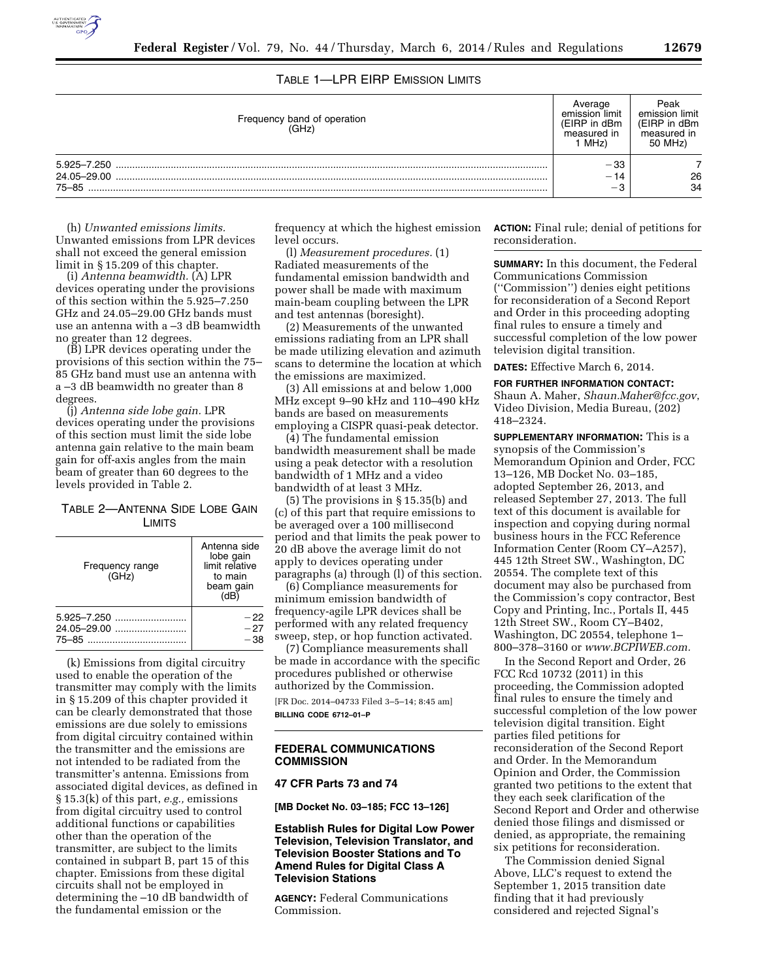

# TABLE 1—LPR EIRP EMISSION LIMITS

| Frequency band of operation<br>(GHz) | emission limit<br>(EIRP in dBm<br>measured in<br>MHz) | Peak<br>emission limit<br>(EIRP in dBm<br>measured in<br>50 MHz) |
|--------------------------------------|-------------------------------------------------------|------------------------------------------------------------------|
| 5.925–7.250                          | -33                                                   |                                                                  |
| 24.05-29.00                          | 14<br>$\overline{\phantom{0}}$                        | 26                                                               |
| 75-85                                | $-\alpha$                                             | 34                                                               |

(h) *Unwanted emissions limits.*  Unwanted emissions from LPR devices shall not exceed the general emission limit in § 15.209 of this chapter.

(i) *Antenna beamwidth.* (A) LPR devices operating under the provisions of this section within the 5.925–7.250 GHz and 24.05–29.00 GHz bands must use an antenna with a –3 dB beamwidth no greater than 12 degrees.

(B) LPR devices operating under the provisions of this section within the 75– 85 GHz band must use an antenna with a –3 dB beamwidth no greater than 8 degrees.

(j) *Antenna side lobe gain.* LPR devices operating under the provisions of this section must limit the side lobe antenna gain relative to the main beam gain for off-axis angles from the main beam of greater than 60 degrees to the levels provided in Table 2.

## TABLE 2—ANTENNA SIDE LOBE GAIN LIMITS

| Frequency range<br>(GHz) | Antenna side<br>lobe gain<br>limit relative<br>to main<br>beam gain<br>(HB) |
|--------------------------|-----------------------------------------------------------------------------|
|                          | $-22$                                                                       |
| 24.05-29.00              | $-27$                                                                       |
|                          | $-38$                                                                       |

(k) Emissions from digital circuitry used to enable the operation of the transmitter may comply with the limits in § 15.209 of this chapter provided it can be clearly demonstrated that those emissions are due solely to emissions from digital circuitry contained within the transmitter and the emissions are not intended to be radiated from the transmitter's antenna. Emissions from associated digital devices, as defined in § 15.3(k) of this part, *e.g.,* emissions from digital circuitry used to control additional functions or capabilities other than the operation of the transmitter, are subject to the limits contained in subpart B, part 15 of this chapter. Emissions from these digital circuits shall not be employed in determining the –10 dB bandwidth of the fundamental emission or the

frequency at which the highest emission level occurs.

(l) *Measurement procedures.* (1) Radiated measurements of the fundamental emission bandwidth and power shall be made with maximum main-beam coupling between the LPR and test antennas (boresight).

(2) Measurements of the unwanted emissions radiating from an LPR shall be made utilizing elevation and azimuth scans to determine the location at which the emissions are maximized.

(3) All emissions at and below 1,000 MHz except 9–90 kHz and 110–490 kHz bands are based on measurements employing a CISPR quasi-peak detector.

(4) The fundamental emission bandwidth measurement shall be made using a peak detector with a resolution bandwidth of 1 MHz and a video bandwidth of at least 3 MHz.

(5) The provisions in § 15.35(b) and (c) of this part that require emissions to be averaged over a 100 millisecond period and that limits the peak power to 20 dB above the average limit do not apply to devices operating under paragraphs (a) through (l) of this section.

(6) Compliance measurements for minimum emission bandwidth of frequency-agile LPR devices shall be performed with any related frequency sweep, step, or hop function activated.

(7) Compliance measurements shall be made in accordance with the specific procedures published or otherwise authorized by the Commission.

[FR Doc. 2014–04733 Filed 3–5–14; 8:45 am] **BILLING CODE 6712–01–P** 

#### **FEDERAL COMMUNICATIONS COMMISSION**

#### **47 CFR Parts 73 and 74**

**[MB Docket No. 03–185; FCC 13–126]** 

### **Establish Rules for Digital Low Power Television, Television Translator, and Television Booster Stations and To Amend Rules for Digital Class A Television Stations**

**AGENCY:** Federal Communications Commission.

**ACTION:** Final rule; denial of petitions for reconsideration.

**SUMMARY:** In this document, the Federal Communications Commission (''Commission'') denies eight petitions for reconsideration of a Second Report and Order in this proceeding adopting final rules to ensure a timely and successful completion of the low power television digital transition.

**DATES:** Effective March 6, 2014.

**FOR FURTHER INFORMATION CONTACT:**  Shaun A. Maher, *[Shaun.Maher@fcc.gov](mailto:Shaun.Maher@fcc.gov)*,

Video Division, Media Bureau, (202) 418–2324.

**SUPPLEMENTARY INFORMATION:** This is a synopsis of the Commission's Memorandum Opinion and Order, FCC 13–126, MB Docket No. 03–185, adopted September 26, 2013, and released September 27, 2013. The full text of this document is available for inspection and copying during normal business hours in the FCC Reference Information Center (Room CY–A257), 445 12th Street SW., Washington, DC 20554. The complete text of this document may also be purchased from the Commission's copy contractor, Best Copy and Printing, Inc., Portals II, 445 12th Street SW., Room CY–B402, Washington, DC 20554, telephone 1– 800–378–3160 or *[www.BCPIWEB.com.](http://www.BCPIWEB.com)* 

In the Second Report and Order, 26 FCC Rcd 10732 (2011) in this proceeding, the Commission adopted final rules to ensure the timely and successful completion of the low power television digital transition. Eight parties filed petitions for reconsideration of the Second Report and Order. In the Memorandum Opinion and Order, the Commission granted two petitions to the extent that they each seek clarification of the Second Report and Order and otherwise denied those filings and dismissed or denied, as appropriate, the remaining six petitions for reconsideration.

The Commission denied Signal Above, LLC's request to extend the September 1, 2015 transition date finding that it had previously considered and rejected Signal's